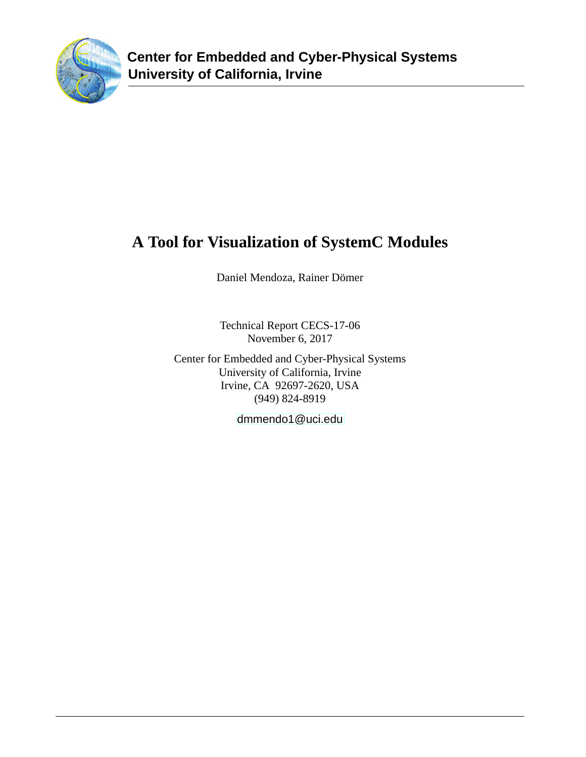

# **A Tool for Visualization of SystemC Modules**

Daniel Mendoza, Rainer Dömer

Technical Report CECS-17-06 November 6, 2017

Center for Embedded and Cyber-Physical Systems University of California, Irvine Irvine, CA 92697-2620, USA (949) 824-8919

<dmmendo1@uci.edu>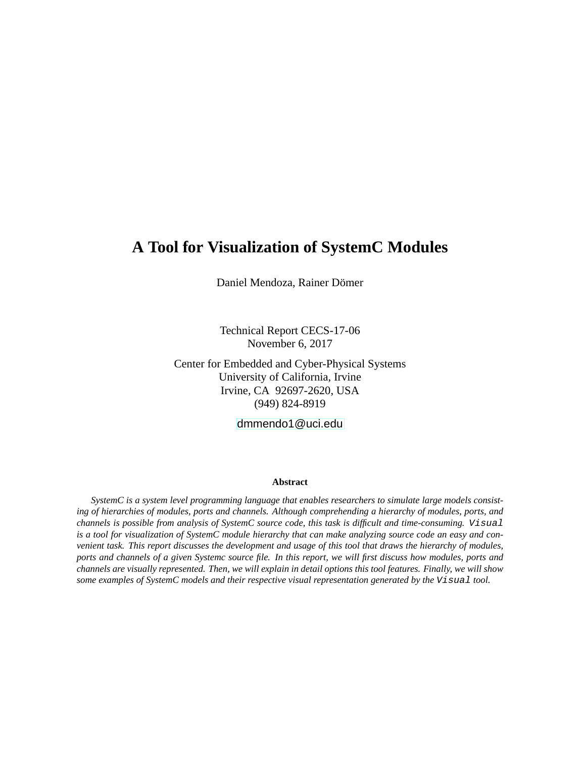# **A Tool for Visualization of SystemC Modules**

Daniel Mendoza, Rainer Dömer

Technical Report CECS-17-06 November 6, 2017

Center for Embedded and Cyber-Physical Systems University of California, Irvine Irvine, CA 92697-2620, USA (949) 824-8919

<dmmendo1@uci.edu>

#### **Abstract**

*SystemC is a system level programming language that enables researchers to simulate large models consisting of hierarchies of modules, ports and channels. Although comprehending a hierarchy of modules, ports, and channels is possible from analysis of SystemC source code, this task is difficult and time-consuming.* Visual is a tool for visualization of SystemC module hierarchy that can make analyzing source code an easy and con*venient task. This report discusses the development and usage of this tool that draws the hierarchy of modules, ports and channels of a given Systemc source file. In this report, we will first discuss how modules, ports and channels are visually represented. Then, we will explain in detail options this tool features. Finally, we will show some examples of SystemC models and their respective visual representation generated by the* Visual *tool.*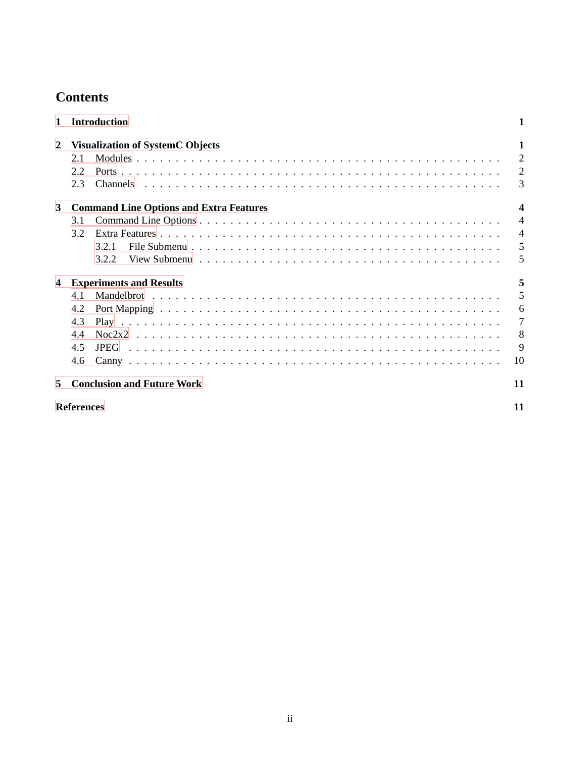# **Contents**

| 1                       | <b>Introduction</b>                                                            |                                                                |  |  |  |  |
|-------------------------|--------------------------------------------------------------------------------|----------------------------------------------------------------|--|--|--|--|
| 2                       | <b>Visualization of SystemC Objects</b><br>2.1<br>2.2<br>2.3                   | 1<br>$\overline{2}$<br>$\overline{2}$<br>3                     |  |  |  |  |
| 3                       | <b>Command Line Options and Extra Features</b><br>3.1<br>3.2<br>3.2.1<br>3.2.2 | $\boldsymbol{4}$<br>$\overline{4}$<br>$\overline{4}$<br>5<br>5 |  |  |  |  |
| $\overline{\mathbf{4}}$ | <b>Experiments and Results</b><br>4.1<br>4.2<br>4.3<br>4.4<br>4.5<br>4.6       | 5<br>5<br>6<br>$\tau$<br>8<br>9<br>10                          |  |  |  |  |
| 5                       | <b>Conclusion and Future Work</b>                                              | 11                                                             |  |  |  |  |
| <b>References</b>       |                                                                                |                                                                |  |  |  |  |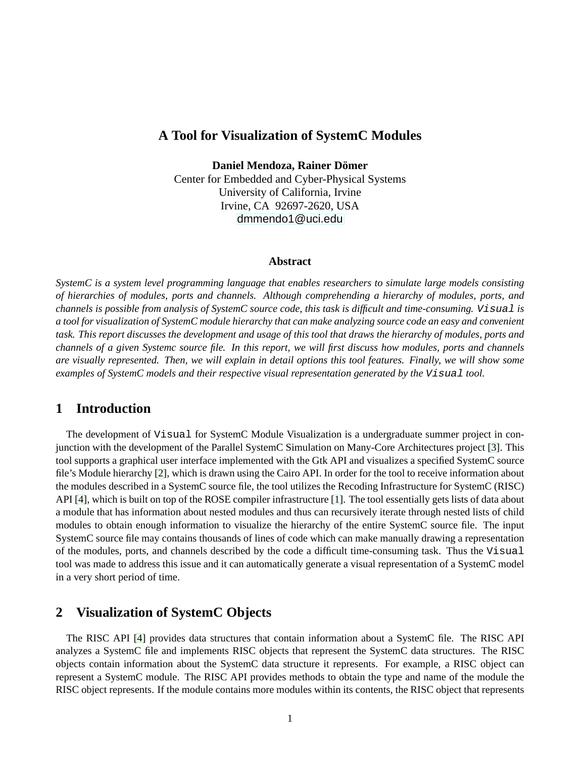### **A Tool for Visualization of SystemC Modules**

**Daniel Mendoza, Rainer Dömer** 

Center for Embedded and Cyber-Physical Systems University of California, Irvine Irvine, CA 92697-2620, USA <dmmendo1@uci.edu>

#### **Abstract**

*SystemC is a system level programming language that enables researchers to simulate large models consisting of hierarchies of modules, ports and channels. Although comprehending a hierarchy of modules, ports, and channels is possible from analysis of SystemC source code, this task is difficult and time-consuming.* Visual *is a tool for visualization of SystemC module hierarchy that can make analyzing source code an easy and convenient task. This report discusses the development and usage of this tool that draws the hierarchy of modules, ports and channels of a given Systemc source file. In this report, we will first discuss how modules, ports and channels are visually represented. Then, we will explain in detail options this tool features. Finally, we will show some examples of SystemC models and their respective visual representation generated by the Visual tool.* 

### <span id="page-3-0"></span>**1 Introduction**

The development of Visual for SystemC Module Visualization is a undergraduate summer project in conjunction with the development of the Parallel SystemC Simulation on Many-Core Architectures project [\[3\]](#page-13-2). This tool supports a graphical user interface implemented with the Gtk API and visualizes a specified SystemC source file's Module hierarchy [\[2\]](#page-13-3), which is drawn using the Cairo API. In order for the tool to receive information about the modules described in a SystemC source file, the tool utilizes the Recoding Infrastructure for SystemC (RISC) API [\[4\]](#page-13-4), which is built on top of the ROSE compiler infrastructure [\[1\]](#page-13-5). The tool essentially gets lists of data about a module that has information about nested modules and thus can recursively iterate through nested lists of child modules to obtain enough information to visualize the hierarchy of the entire SystemC source file. The input SystemC source file may contains thousands of lines of code which can make manually drawing a representation of the modules, ports, and channels described by the code a difficult time-consuming task. Thus the Visual tool was made to address this issue and it can automatically generate a visual representation of a SystemC model in a very short period of time.

### <span id="page-3-1"></span>**2 Visualization of SystemC Objects**

The RISC API [\[4\]](#page-13-4) provides data structures that contain information about a SystemC file. The RISC API analyzes a SystemC file and implements RISC objects that represent the SystemC data structures. The RISC objects contain information about the SystemC data structure it represents. For example, a RISC object can represent a SystemC module. The RISC API provides methods to obtain the type and name of the module the RISC object represents. If the module contains more modules within its contents, the RISC object that represents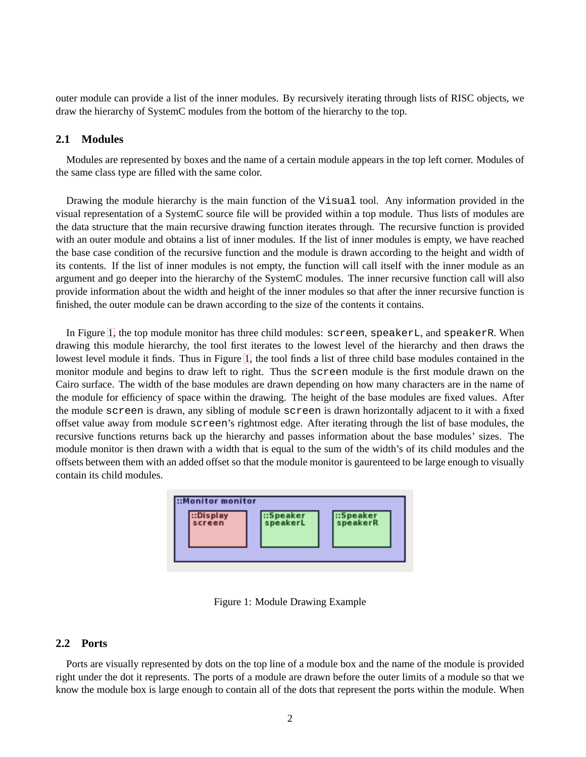outer module can provide a list of the inner modules. By recursively iterating through lists of RISC objects, we draw the hierarchy of SystemC modules from the bottom of the hierarchy to the top.

#### <span id="page-4-0"></span>**2.1 Modules**

Modules are represented by boxes and the name of a certain module appears in the top left corner. Modules of the same class type are filled with the same color.

Drawing the module hierarchy is the main function of the Visual tool. Any information provided in the visual representation of a SystemC source file will be provided within a top module. Thus lists of modules are the data structure that the main recursive drawing function iterates through. The recursive function is provided with an outer module and obtains a list of inner modules. If the list of inner modules is empty, we have reached the base case condition of the recursive function and the module is drawn according to the height and width of its contents. If the list of inner modules is not empty, the function will call itself with the inner module as an argument and go deeper into the hierarchy of the SystemC modules. The inner recursive function call will also provide information about the width and height of the inner modules so that after the inner recursive function is finished, the outer module can be drawn according to the size of the contents it contains.

<span id="page-4-2"></span>In Figure [1,](#page-4-2) the top module monitor has three child modules: screen, speakerL, and speakerR. When drawing this module hierarchy, the tool first iterates to the lowest level of the hierarchy and then draws the lowest level module it finds. Thus in Figure [1,](#page-4-2) the tool finds a list of three child base modules contained in the monitor module and begins to draw left to right. Thus the screen module is the first module drawn on the Cairo surface. The width of the base modules are drawn depending on how many characters are in the name of the module for efficiency of space within the drawing. The height of the base modules are fixed values. After the module screen is drawn, any sibling of module screen is drawn horizontally adjacent to it with a fixed offset value away from module screen's rightmost edge. After iterating through the list of base modules, the recursive functions returns back up the hierarchy and passes information about the base modules' sizes. The module monitor is then drawn with a width that is equal to the sum of the width's of its child modules and the offsets between them with an added offset so that the module monitor is gaurenteed to be large enough to visually contain its child modules.



Figure 1: Module Drawing Example

#### <span id="page-4-1"></span>**2.2 Ports**

Ports are visually represented by dots on the top line of a module box and the name of the module is provided right under the dot it represents. The ports of a module are drawn before the outer limits of a module so that we know the module box is large enough to contain all of the dots that represent the ports within the module. When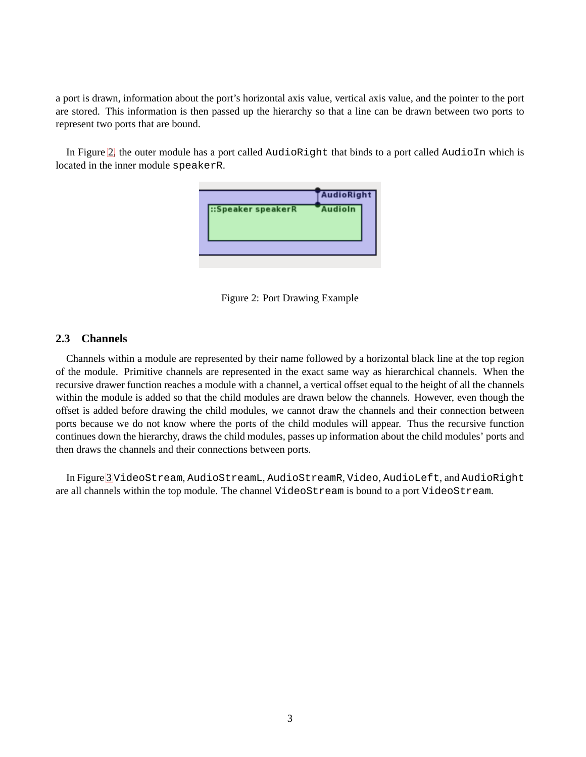a port is drawn, information about the port's horizontal axis value, vertical axis value, and the pointer to the port are stored. This information is then passed up the hierarchy so that a line can be drawn between two ports to represent two ports that are bound.

<span id="page-5-1"></span>In Figure [2,](#page-5-1) the outer module has a port called AudioRight that binds to a port called AudioIn which is located in the inner module speakerR.





#### <span id="page-5-0"></span>**2.3 Channels**

Channels within a module are represented by their name followed by a horizontal black line at the top region of the module. Primitive channels are represented in the exact same way as hierarchical channels. When the recursive drawer function reaches a module with a channel, a vertical offset equal to the height of all the channels within the module is added so that the child modules are drawn below the channels. However, even though the offset is added before drawing the child modules, we cannot draw the channels and their connection between ports because we do not know where the ports of the child modules will appear. Thus the recursive function continues down the hierarchy, draws the child modules, passes up information about the child modules' ports and then draws the channels and their connections between ports.

<span id="page-5-2"></span>In Figure [3](#page-5-2) VideoStream, AudioStreamL, AudioStreamR, Video, AudioLeft, and AudioRight are all channels within the top module. The channel VideoStream is bound to a port VideoStream.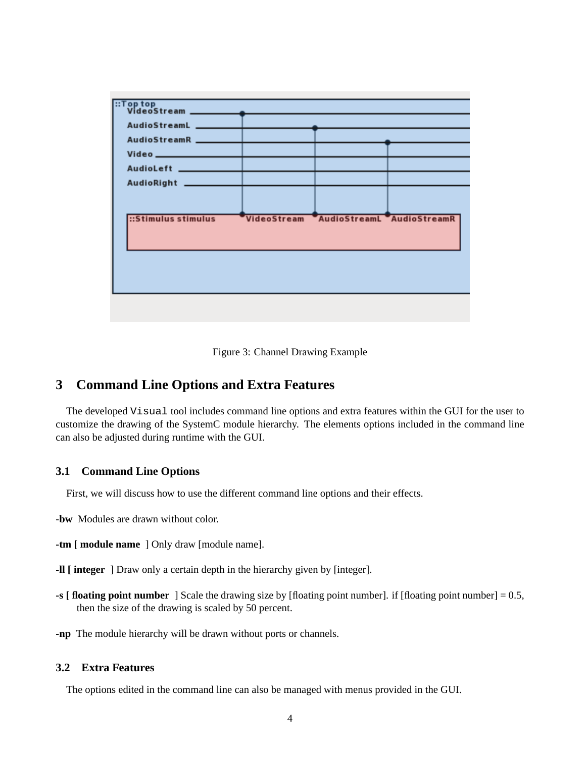| ::Stimulus stimulus |  | VideoStream AudioStreamL AudioStreamR |  |  |
|---------------------|--|---------------------------------------|--|--|
|                     |  |                                       |  |  |
|                     |  |                                       |  |  |
|                     |  |                                       |  |  |
|                     |  |                                       |  |  |
|                     |  |                                       |  |  |



## <span id="page-6-0"></span>**3 Command Line Options and Extra Features**

The developed Visual tool includes command line options and extra features within the GUI for the user to customize the drawing of the SystemC module hierarchy. The elements options included in the command line can also be adjusted during runtime with the GUI.

#### <span id="page-6-1"></span>**3.1 Command Line Options**

First, we will discuss how to use the different command line options and their effects.

- **-bw** Modules are drawn without color.
- **-tm [ module name** ] Only draw [module name].
- **-ll [ integer** ] Draw only a certain depth in the hierarchy given by [integer].
- **-s [ floating point number** ] Scale the drawing size by [floating point number]. if [floating point number] = 0.5, then the size of the drawing is scaled by 50 percent.
- **-np** The module hierarchy will be drawn without ports or channels.

### <span id="page-6-2"></span>**3.2 Extra Features**

The options edited in the command line can also be managed with menus provided in the GUI.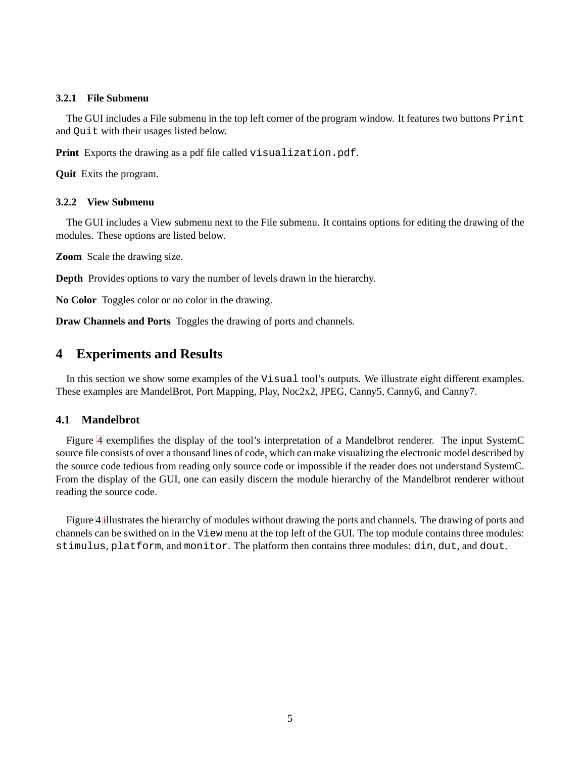#### <span id="page-7-0"></span>**3.2.1 File Submenu**

The GUI includes a File submenu in the top left corner of the program window. It features two buttons Print and Quit with their usages listed below.

**Print** Exports the drawing as a pdf file called visualization.pdf.

**Quit** Exits the program.

#### <span id="page-7-1"></span>**3.2.2 View Submenu**

The GUI includes a View submenu next to the File submenu. It contains options for editing the drawing of the modules. These options are listed below.

**Zoom** Scale the drawing size.

**Depth** Provides options to vary the number of levels drawn in the hierarchy.

**No Color** Toggles color or no color in the drawing.

**Draw Channels and Ports** Toggles the drawing of ports and channels.

# <span id="page-7-2"></span>**4 Experiments and Results**

In this section we show some examples of the Visual tool's outputs. We illustrate eight different examples. These examples are MandelBrot, Port Mapping, Play, Noc2x2, JPEG, Canny5, Canny6, and Canny7.

#### <span id="page-7-3"></span>**4.1 Mandelbrot**

Figure [4](#page-7-4) exemplifies the display of the tool's interpretation of a Mandelbrot renderer. The input SystemC source file consists of over a thousand lines of code, which can make visualizing the electronic model described by the source code tedious from reading only source code or impossible if the reader does not understand SystemC. From the display of the GUI, one can easily discern the module hierarchy of the Mandelbrot renderer without reading the source code.

<span id="page-7-4"></span>Figure [4](#page-7-4) illustrates the hierarchy of modules without drawing the ports and channels. The drawing of ports and channels can be swithed on in the View menu at the top left of the GUI. The top module contains three modules: stimulus, platform, and monitor. The platform then contains three modules: din, dut, and dout.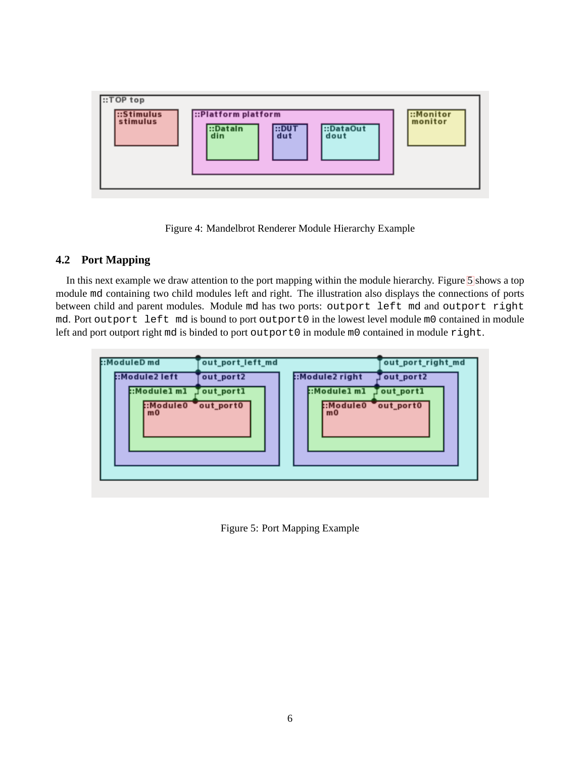

Figure 4: Mandelbrot Renderer Module Hierarchy Example

## <span id="page-8-1"></span><span id="page-8-0"></span>**4.2 Port Mapping**

In this next example we draw attention to the port mapping within the module hierarchy. Figure [5](#page-8-1) shows a top module md containing two child modules left and right. The illustration also displays the connections of ports between child and parent modules. Module md has two ports: outport left md and outport right md. Port outport left md is bound to port outport0 in the lowest level module m0 contained in module left and port outport right md is binded to port outport0 in module m0 contained in module right.

| ::ModuleD md<br>:Module2 left<br>::Module1m1 Jout_port1<br>:Module0 out_port0<br>m <sub>0</sub> | out_port_left_md<br>out_port2 | :Module2 right<br>:Module1 m1 Jout_port1<br>:Module0 out_port0<br>m <sub>0</sub> | out_port_right_md<br>Tout_port2 |
|-------------------------------------------------------------------------------------------------|-------------------------------|----------------------------------------------------------------------------------|---------------------------------|
|                                                                                                 |                               |                                                                                  |                                 |

Figure 5: Port Mapping Example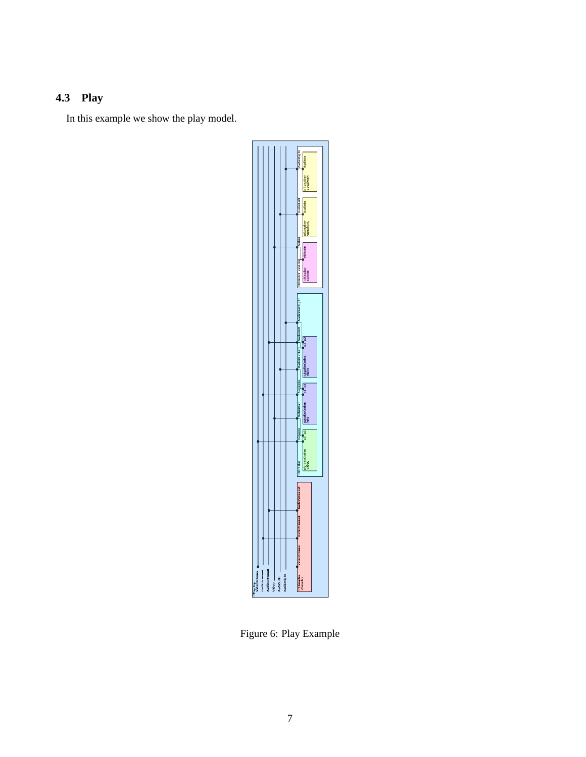# <span id="page-9-0"></span>**4.3 Play**

In this example we show the play model.



Figure 6: Play Example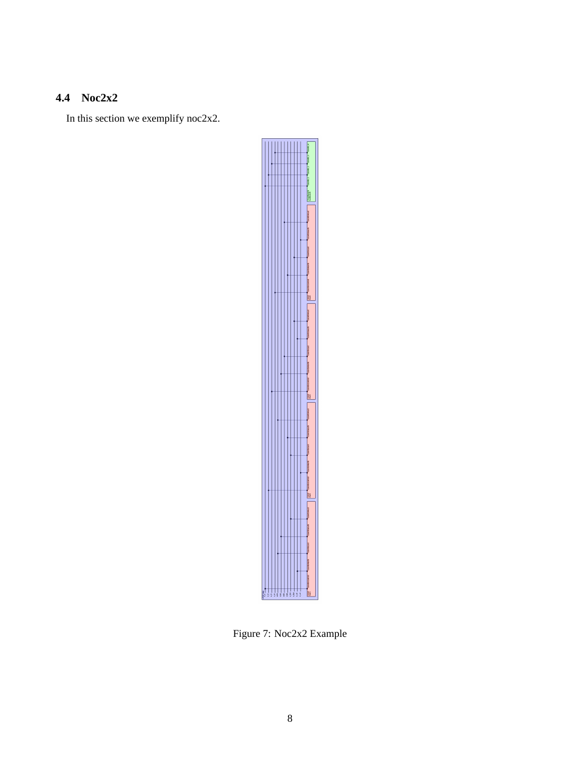# <span id="page-10-0"></span>**4.4 Noc2x2**

In this section we exemplify noc2x2.



Figure 7: Noc2x2 Example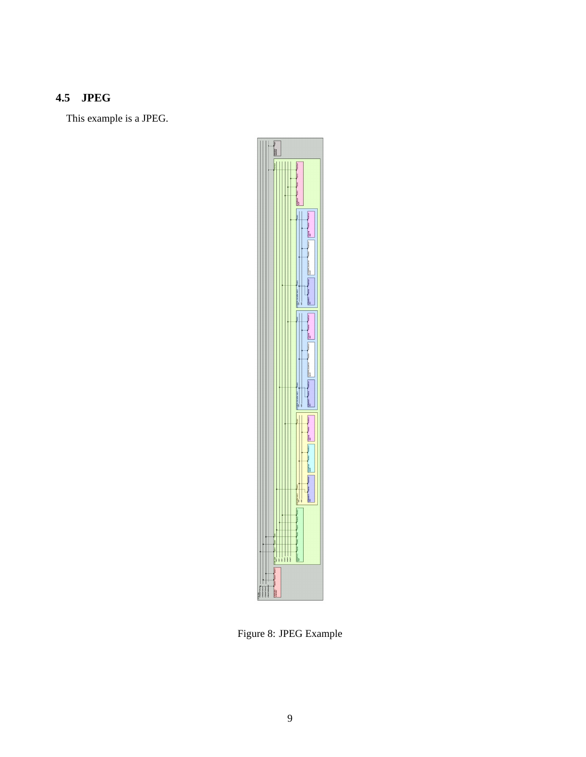# <span id="page-11-0"></span>**4.5 JPEG**

This example is a JPEG.



Figure 8: JPEG Example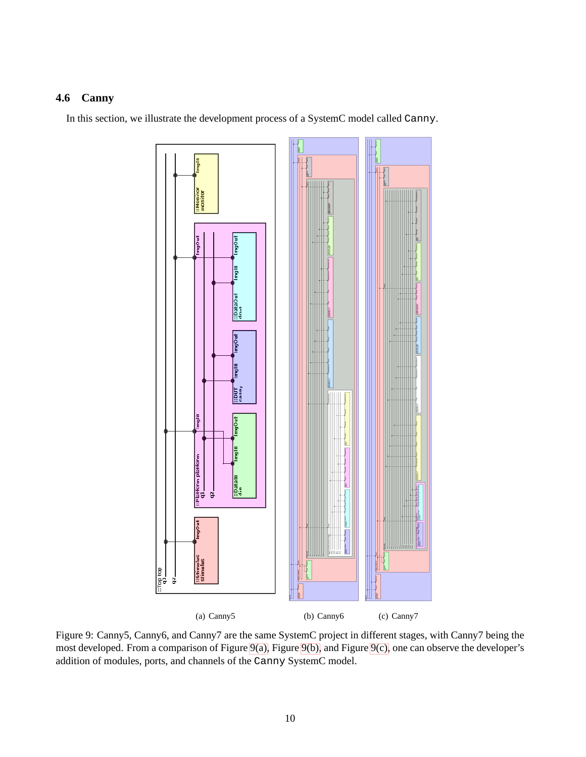## <span id="page-12-1"></span><span id="page-12-0"></span>**4.6 Canny**

In this section, we illustrate the development process of a SystemC model called Canny.



<span id="page-12-3"></span><span id="page-12-2"></span>Figure 9: Canny5, Canny6, and Canny7 are the same SystemC project in different stages, with Canny7 being the most developed. From a comparison of Figure [9\(a\),](#page-12-1) Figure [9\(b\),](#page-12-2) and Figure [9\(c\),](#page-12-3) one can observe the developer's addition of modules, ports, and channels of the Canny SystemC model.